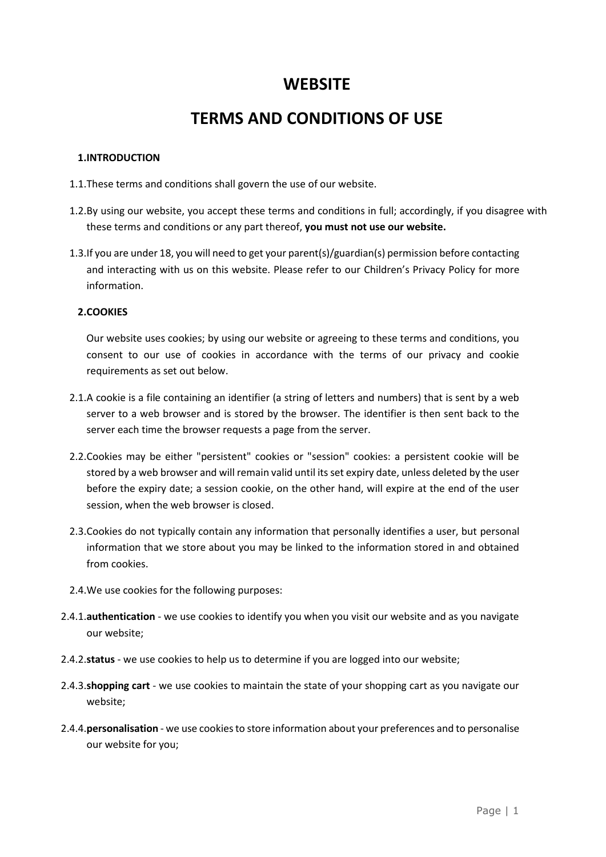# **WEBSITE**

# **TERMS AND CONDITIONS OF USE**

# **1.INTRODUCTION**

- 1.1.These terms and conditions shall govern the use of our website.
- 1.2.By using our website, you accept these terms and conditions in full; accordingly, if you disagree with these terms and conditions or any part thereof, **you must not use our website.**
- 1.3.If you are under 18, you will need to get your parent(s)/guardian(s) permission before contacting and interacting with us on this website. Please refer to our Children's Privacy Policy for more information.

# **2.COOKIES**

Our website uses cookies; by using our website or agreeing to these terms and conditions, you consent to our use of cookies in accordance with the terms of our privacy and cookie requirements as set out below.

- 2.1.A cookie is a file containing an identifier (a string of letters and numbers) that is sent by a web server to a web browser and is stored by the browser. The identifier is then sent back to the server each time the browser requests a page from the server.
- 2.2.Cookies may be either "persistent" cookies or "session" cookies: a persistent cookie will be stored by a web browser and will remain valid until its set expiry date, unless deleted by the user before the expiry date; a session cookie, on the other hand, will expire at the end of the user session, when the web browser is closed.
- 2.3.Cookies do not typically contain any information that personally identifies a user, but personal information that we store about you may be linked to the information stored in and obtained from cookies.
- 2.4.We use cookies for the following purposes:
- 2.4.1.**authentication** we use cookies to identify you when you visit our website and as you navigate our website;
- 2.4.2.**status** we use cookies to help us to determine if you are logged into our website;
- 2.4.3.**shopping cart** we use cookies to maintain the state of your shopping cart as you navigate our website;
- 2.4.4.**personalisation** we use cookies to store information about your preferences and to personalise our website for you;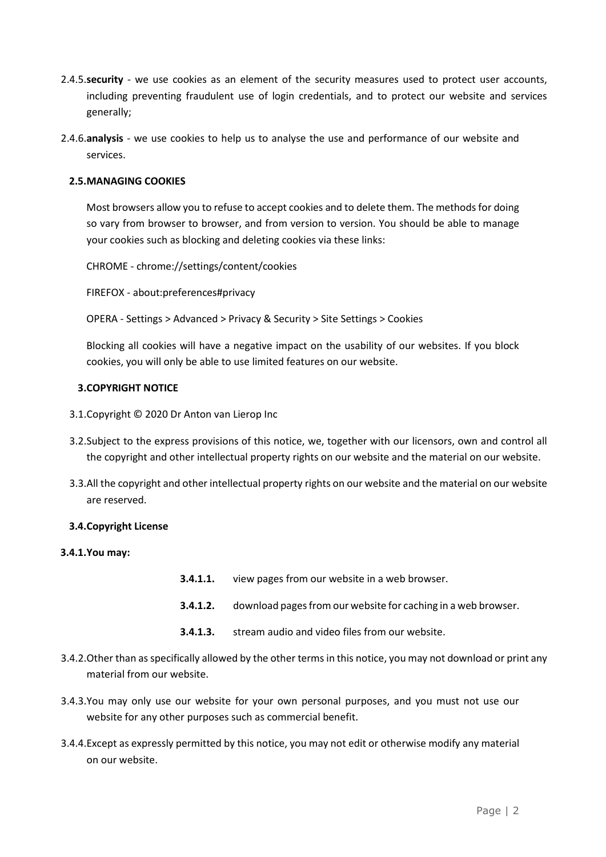- 2.4.5.**security** we use cookies as an element of the security measures used to protect user accounts, including preventing fraudulent use of login credentials, and to protect our website and services generally;
- 2.4.6.**analysis**  we use cookies to help us to analyse the use and performance of our website and services.

# **2.5.MANAGING COOKIES**

Most browsers allow you to refuse to accept cookies and to delete them. The methods for doing so vary from browser to browser, and from version to version. You should be able to manage your cookies such as blocking and deleting cookies via these links:

CHROME - chrome://settings/content/cookies

FIREFOX - about:preferences#privacy

OPERA - Settings > Advanced > Privacy & Security > Site Settings > Cookies

Blocking all cookies will have a negative impact on the usability of our websites. If you block cookies, you will only be able to use limited features on our website.

# **3.COPYRIGHT NOTICE**

- 3.1.Copyright © 2020 Dr Anton van Lierop Inc
- 3.2.Subject to the express provisions of this notice, we, together with our licensors, own and control all the copyright and other intellectual property rights on our website and the material on our website.
- 3.3.All the copyright and other intellectual property rights on our website and the material on our website are reserved.

# **3.4.Copyright License**

# **3.4.1.You may:**

- **3.4.1.1.** view pages from our website in a web browser.
- **3.4.1.2.** download pages from our website for caching in a web browser.
- **3.4.1.3.** stream audio and video files from our website.
- 3.4.2.Other than as specifically allowed by the other terms in this notice, you may not download or print any material from our website.
- 3.4.3.You may only use our website for your own personal purposes, and you must not use our website for any other purposes such as commercial benefit.
- 3.4.4.Except as expressly permitted by this notice, you may not edit or otherwise modify any material on our website.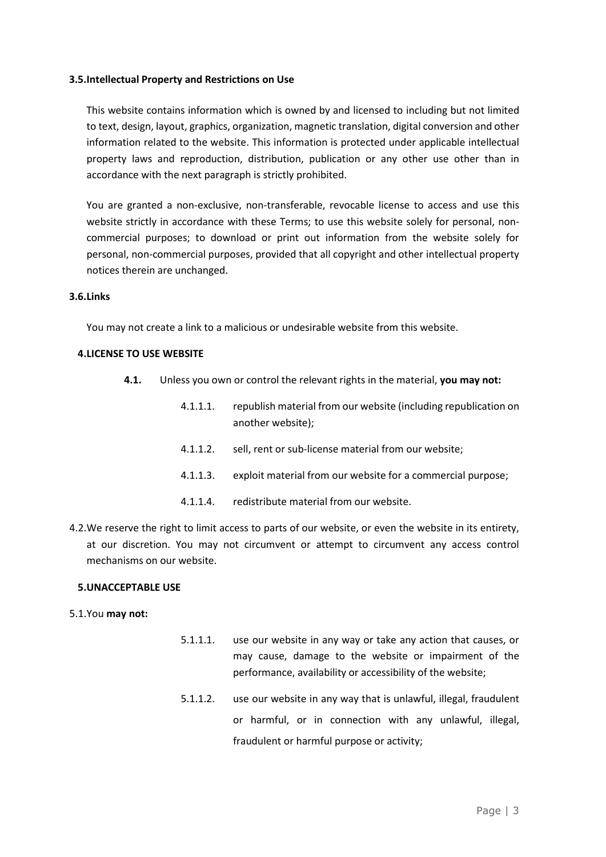#### **3.5.Intellectual Property and Restrictions on Use**

This website contains information which is owned by and licensed to including but not limited to text, design, layout, graphics, organization, magnetic translation, digital conversion and other information related to the website. This information is protected under applicable intellectual property laws and reproduction, distribution, publication or any other use other than in accordance with the next paragraph is strictly prohibited.

You are granted a non-exclusive, non-transferable, revocable license to access and use this website strictly in accordance with these Terms; to use this website solely for personal, noncommercial purposes; to download or print out information from the website solely for personal, non-commercial purposes, provided that all copyright and other intellectual property notices therein are unchanged.

#### **3.6.Links**

You may not create a link to a malicious or undesirable website from this website.

#### **4.LICENSE TO USE WEBSITE**

- **4.1.** Unless you own or control the relevant rights in the material, **you may not:**
	- 4.1.1.1. republish material from our website (including republication on another website);
	- 4.1.1.2. sell, rent or sub-license material from our website;
	- 4.1.1.3. exploit material from our website for a commercial purpose;
	- 4.1.1.4. redistribute material from our website.
- 4.2.We reserve the right to limit access to parts of our website, or even the website in its entirety, at our discretion. You may not circumvent or attempt to circumvent any access control mechanisms on our website.

#### **5.UNACCEPTABLE USE**

5.1.You **may not:**

- 5.1.1.1. use our website in any way or take any action that causes, or may cause, damage to the website or impairment of the performance, availability or accessibility of the website;
- 5.1.1.2. use our website in any way that is unlawful, illegal, fraudulent or harmful, or in connection with any unlawful, illegal, fraudulent or harmful purpose or activity;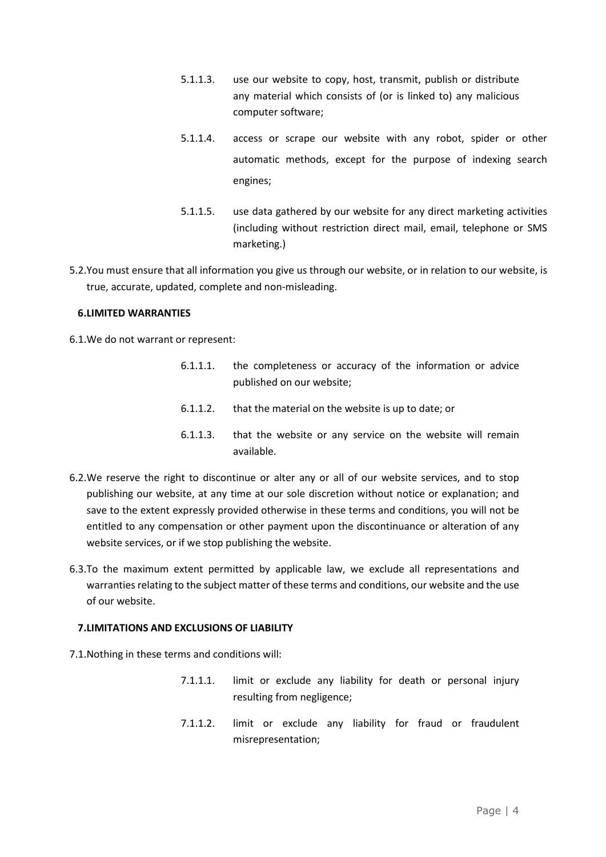- 5.1.1.3. use our website to copy, host, transmit, publish or distribute any material which consists of (or is linked to) any malicious computer software;
- 5.1.1.4. access or scrape our website with any robot, spider or other automatic methods, except for the purpose of indexing search engines;
- 5.1.1.5. use data gathered by our website for any direct marketing activities (including without restriction direct mail, email, telephone or SMS marketing.)
- 5.2.You must ensure that all information you give us through our website, or in relation to our website, is true, accurate, updated, complete and non-misleading.

# **6.LIMITED WARRANTIES**

6.1.We do not warrant or represent:

- 6.1.1.1. the completeness or accuracy of the information or advice published on our website;
- 6.1.1.2. that the material on the website is up to date; or
- 6.1.1.3. that the website or any service on the website will remain available.
- 6.2.We reserve the right to discontinue or alter any or all of our website services, and to stop publishing our website, at any time at our sole discretion without notice or explanation; and save to the extent expressly provided otherwise in these terms and conditions, you will not be entitled to any compensation or other payment upon the discontinuance or alteration of any website services, or if we stop publishing the website.
- 6.3.To the maximum extent permitted by applicable law, we exclude all representations and warranties relating to the subject matter of these terms and conditions, our website and the use of our website.

# **7.LIMITATIONS AND EXCLUSIONS OF LIABILITY**

- 7.1.Nothing in these terms and conditions will:
	- 7.1.1.1. limit or exclude any liability for death or personal injury resulting from negligence;
	- 7.1.1.2. limit or exclude any liability for fraud or fraudulent misrepresentation;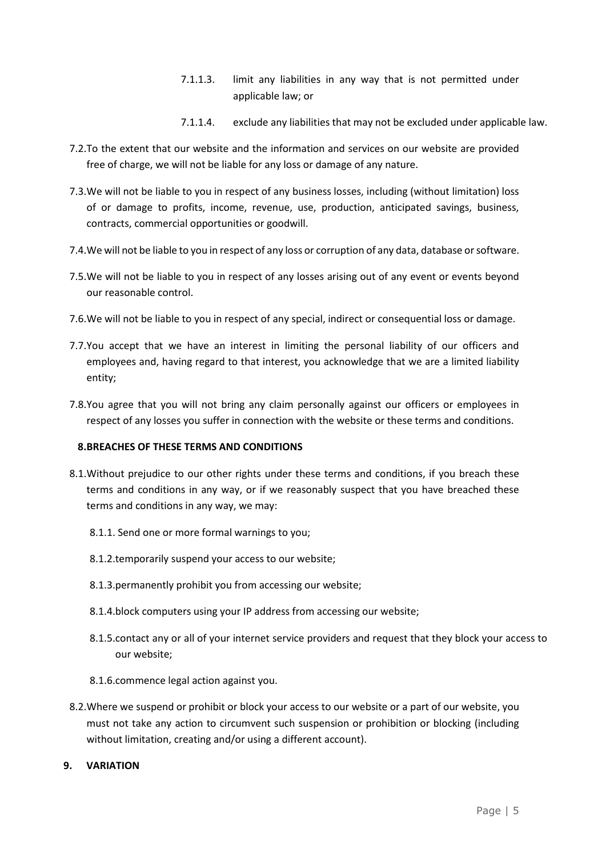- 7.1.1.3. limit any liabilities in any way that is not permitted under applicable law; or
- 7.1.1.4. exclude any liabilities that may not be excluded under applicable law.
- 7.2.To the extent that our website and the information and services on our website are provided free of charge, we will not be liable for any loss or damage of any nature.
- 7.3.We will not be liable to you in respect of any business losses, including (without limitation) loss of or damage to profits, income, revenue, use, production, anticipated savings, business, contracts, commercial opportunities or goodwill.
- 7.4.We will not be liable to you in respect of any loss or corruption of any data, database or software.
- 7.5.We will not be liable to you in respect of any losses arising out of any event or events beyond our reasonable control.
- 7.6.We will not be liable to you in respect of any special, indirect or consequential loss or damage.
- 7.7.You accept that we have an interest in limiting the personal liability of our officers and employees and, having regard to that interest, you acknowledge that we are a limited liability entity;
- 7.8.You agree that you will not bring any claim personally against our officers or employees in respect of any losses you suffer in connection with the website or these terms and conditions.

# **8.BREACHES OF THESE TERMS AND CONDITIONS**

- 8.1. Without prejudice to our other rights under these terms and conditions, if you breach these terms and conditions in any way, or if we reasonably suspect that you have breached these terms and conditions in any way, we may:
	- 8.1.1. Send one or more formal warnings to you;
	- 8.1.2.temporarily suspend your access to our website;
	- 8.1.3.permanently prohibit you from accessing our website;
	- 8.1.4.block computers using your IP address from accessing our website;
	- 8.1.5.contact any or all of your internet service providers and request that they block your access to our website;
	- 8.1.6.commence legal action against you.
- 8.2.Where we suspend or prohibit or block your access to our website or a part of our website, you must not take any action to circumvent such suspension or prohibition or blocking (including without limitation, creating and/or using a different account).
- **9. VARIATION**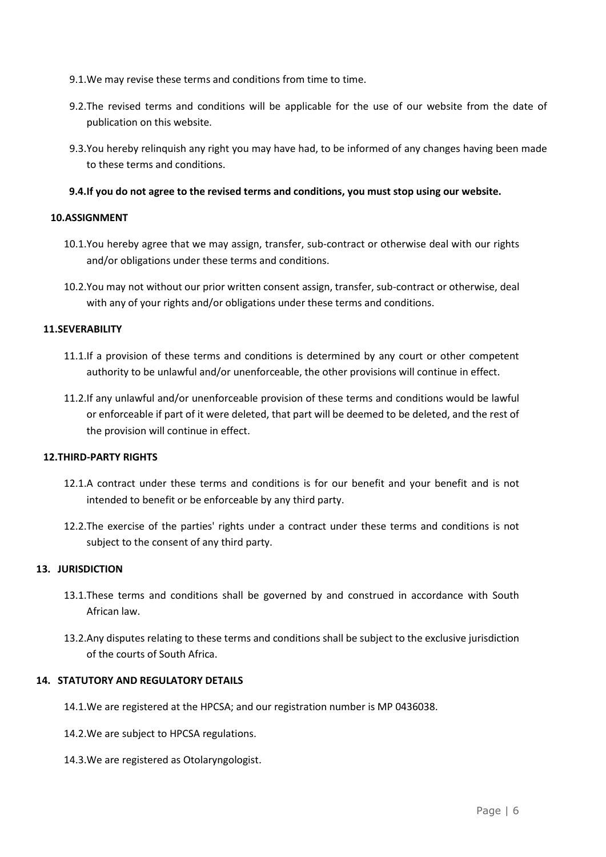- 9.1.We may revise these terms and conditions from time to time.
- 9.2.The revised terms and conditions will be applicable for the use of our website from the date of publication on this website.
- 9.3.You hereby relinquish any right you may have had, to be informed of any changes having been made to these terms and conditions.

# **9.4.If you do not agree to the revised terms and conditions, you must stop using our website.**

# **10.ASSIGNMENT**

- 10.1.You hereby agree that we may assign, transfer, sub-contract or otherwise deal with our rights and/or obligations under these terms and conditions.
- 10.2.You may not without our prior written consent assign, transfer, sub-contract or otherwise, deal with any of your rights and/or obligations under these terms and conditions.

#### **11.SEVERABILITY**

- 11.1.If a provision of these terms and conditions is determined by any court or other competent authority to be unlawful and/or unenforceable, the other provisions will continue in effect.
- 11.2.If any unlawful and/or unenforceable provision of these terms and conditions would be lawful or enforceable if part of it were deleted, that part will be deemed to be deleted, and the rest of the provision will continue in effect.

# **12.THIRD-PARTY RIGHTS**

- 12.1.A contract under these terms and conditions is for our benefit and your benefit and is not intended to benefit or be enforceable by any third party.
- 12.2.The exercise of the parties' rights under a contract under these terms and conditions is not subject to the consent of any third party.

# **13. JURISDICTION**

- 13.1.These terms and conditions shall be governed by and construed in accordance with South African law.
- 13.2.Any disputes relating to these terms and conditions shall be subject to the exclusive jurisdiction of the courts of South Africa.

# **14. STATUTORY AND REGULATORY DETAILS**

- 14.1.We are registered at the HPCSA; and our registration number is MP 0436038.
- 14.2.We are subject to HPCSA regulations.
- 14.3.We are registered as Otolaryngologist.